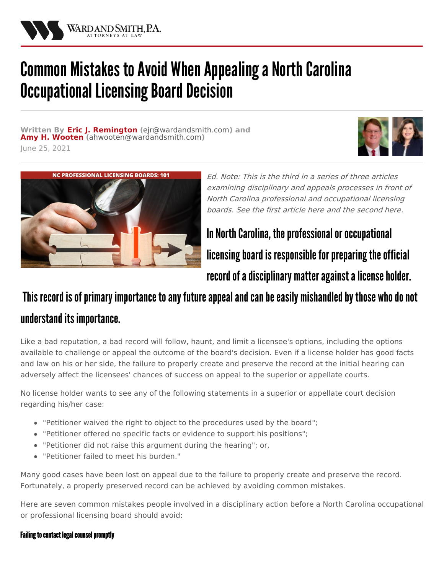

# Common Mistakes to Avoid When Appealing a North Carolina **Occupational Licensing Board Decision**

**Written By Eric J. [Remington](/attorneys/eric-remington) (**[ejr@wardandsmith.com](mailto:ejr@wardandsmith.com)**) and Amy H. [Wooten](/attorneys/amy-wooten) (**[ahwooten@wardandsmith.com](mailto:ahwooten@wardandsmith.com)**)** June 25, 2021





Ed. Note: This is the third in a series of three articles examining disciplinary and appeals processes in front of North Carolina professional and occupational licensing boards. See the first article [here](/articles/north-carolina-occupational-licensing-boards-disciplinary-hearings-and-appeals-101) and the second [here](/articles/appealing-disciplinary-actions-of-north-carolina-professional-or-occupational-licensing-boards).

In North Carolina, the professional or occupational licensing board is responsible for preparing the official record of a disciplinary matter against a license holder.

# This record is of primary importance to any future appeal and can be easily mishandled by those who do not understand its importance.

Like a bad reputation, a bad record will follow, haunt, and limit a licensee's options, including the options available to challenge or appeal the outcome of the board's decision. Even if a license holder has good facts and law on his or her side, the failure to properly create and preserve the record at the initial hearing can adversely affect the licensees' chances of success on appeal to the superior or appellate courts.

No license holder wants to see any of the following statements in a superior or appellate court decision regarding his/her case:

- "Petitioner waived the right to object to the procedures used by the board";
- "Petitioner offered no specific facts or evidence to support his positions";
- "Petitioner did not raise this argument during the hearing"; or,
- "Petitioner failed to meet his burden."

Many good cases have been lost on appeal due to the failure to properly create and preserve the record. Fortunately, a properly preserved record can be achieved by avoiding common mistakes.

Here are seven common mistakes people involved in a disciplinary action before a North Carolina occupational or professional licensing board should avoid:

# Failing to contact legal counsel promptly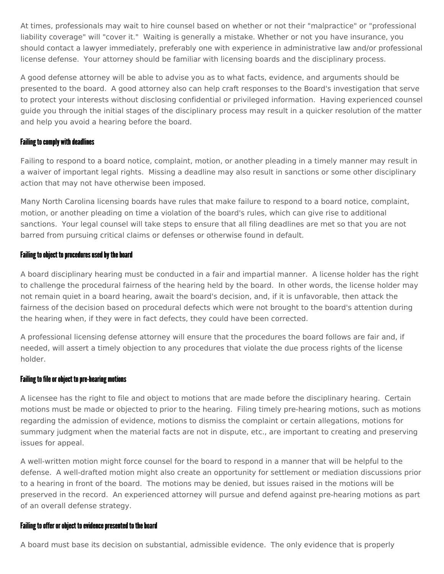At times, professionals may wait to hire counsel based on whether or not their "malpractice" or "professional liability coverage" will "cover it." Waiting is generally a mistake. Whether or not you have insurance, you should contact a lawyer immediately, preferably one with experience in administrative law and/or professional license defense. Your attorney should be familiar with licensing boards and the disciplinary process.

A good defense attorney will be able to advise you as to what facts, evidence, and arguments should be presented to the board. A good attorney also can help craft responses to the Board's investigation that serve to protect your interests without disclosing confidential or privileged information. Having experienced counsel guide you through the initial stages of the disciplinary process may result in a quicker resolution of the matter and help you avoid a hearing before the board.

## **Failing to comply with deadlines**

Failing to respond to a board notice, complaint, motion, or another pleading in a timely manner may result in a waiver of important legal rights. Missing a deadline may also result in sanctions or some other disciplinary action that may not have otherwise been imposed.

Many North Carolina licensing boards have rules that make failure to respond to a board notice, complaint, motion, or another pleading on time a violation of the board's rules, which can give rise to additional sanctions. Your legal counsel will take steps to ensure that all filing deadlines are met so that you are not barred from pursuing critical claims or defenses or otherwise found in default.

#### Failing to object to procedures used by the board

A board disciplinary hearing must be conducted in a fair and impartial manner. A license holder has the right to challenge the procedural fairness of the hearing held by the board. In other words, the license holder may not remain quiet in a board hearing, await the board's decision, and, if it is unfavorable, then attack the fairness of the decision based on procedural defects which were not brought to the board's attention during the hearing when, if they were in fact defects, they could have been corrected.

A professional licensing defense attorney will ensure that the procedures the board follows are fair and, if needed, will assert a timely objection to any procedures that violate the due process rights of the license holder.

#### Failing to file or object to pre-hearing motions

A licensee has the right to file and object to motions that are made before the disciplinary hearing. Certain motions must be made or objected to prior to the hearing. Filing timely pre-hearing motions, such as motions regarding the admission of evidence, motions to dismiss the complaint or certain allegations, motions for summary judgment when the material facts are not in dispute, etc., are important to creating and preserving issues for appeal.

A well-written motion might force counsel for the board to respond in a manner that will be helpful to the defense. A well-drafted motion might also create an opportunity for settlement or mediation discussions prior to a hearing in front of the board. The motions may be denied, but issues raised in the motions will be preserved in the record. An experienced attorney will pursue and defend against pre-hearing motions as part of an overall defense strategy.

#### Failing to offer or object to evidence presented to the board

A board must base its decision on substantial, admissible evidence. The only evidence that is properly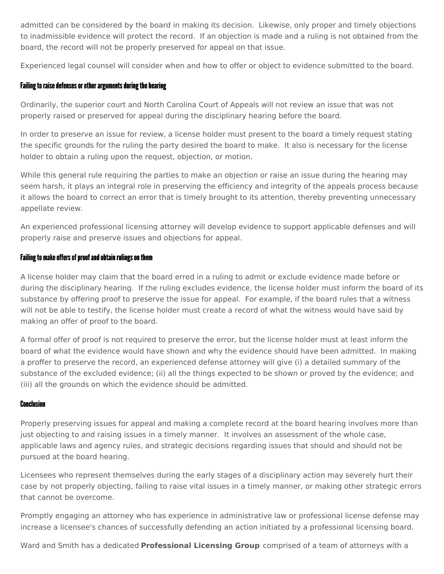admitted can be considered by the board in making its decision. Likewise, only proper and timely objections to inadmissible evidence will protect the record. If an objection is made and a ruling is not obtained from the board, the record will not be properly preserved for appeal on that issue.

Experienced legal counsel will consider when and how to offer or object to evidence submitted to the board.

# Failing to raise defenses or other arguments during the hearing

Ordinarily, the superior court and North Carolina Court of Appeals will not review an issue that was not properly raised or preserved for appeal during the disciplinary hearing before the board.

In order to preserve an issue for review, a license holder must present to the board a timely request stating the specific grounds for the ruling the party desired the board to make. It also is necessary for the license holder to obtain a ruling upon the request, objection, or motion.

While this general rule requiring the parties to make an objection or raise an issue during the hearing may seem harsh, it plays an integral role in preserving the efficiency and integrity of the appeals process because it allows the board to correct an error that is timely brought to its attention, thereby preventing unnecessary appellate review.

An experienced professional licensing attorney will develop evidence to support applicable defenses and will properly raise and preserve issues and objections for appeal.

# Failing to make offers of proof and obtain rulings on them

A license holder may claim that the board erred in a ruling to admit or exclude evidence made before or during the disciplinary hearing. If the ruling excludes evidence, the license holder must inform the board of its substance by offering proof to preserve the issue for appeal. For example, if the board rules that a witness will not be able to testify, the license holder must create a record of what the witness would have said by making an offer of proof to the board.

A formal offer of proof is not required to preserve the error, but the license holder must at least inform the board of what the evidence would have shown and why the evidence should have been admitted. In making a proffer to preserve the record, an experienced defense attorney will give (i) a detailed summary of the substance of the excluded evidence; (ii) all the things expected to be shown or proved by the evidence; and (iii) all the grounds on which the evidence should be admitted.

## **Conclusion**

Properly preserving issues for appeal and making a complete record at the board hearing involves more than just objecting to and raising issues in a timely manner. It involves an assessment of the whole case, applicable laws and agency rules, and strategic decisions regarding issues that should and should not be pursued at the board hearing.

Licensees who represent themselves during the early stages of a disciplinary action may severely hurt their case by not properly objecting, failing to raise vital issues in a timely manner, or making other strategic errors that cannot be overcome.

Promptly engaging an attorney who has experience in administrative law or professional license defense may increase a licensee's chances of successfully defending an action initiated by a professional licensing board.

Ward and Smith has a dedicated **[Professional](/practice-areas/professional-licensing) Licensing Group** comprised of a team of attorneys with a